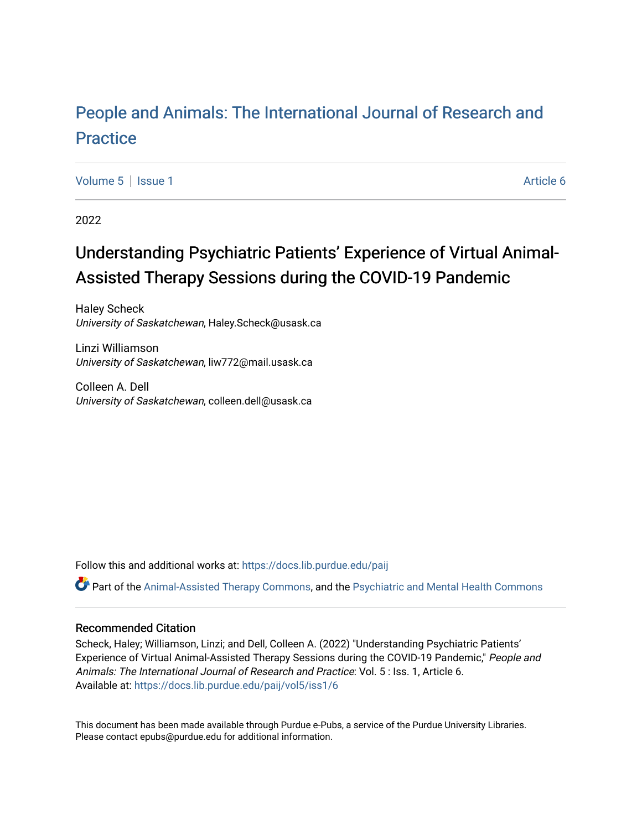# [People and Animals: The International Journal of Research and](https://docs.lib.purdue.edu/paij) **[Practice](https://docs.lib.purdue.edu/paij)**

[Volume 5](https://docs.lib.purdue.edu/paij/vol5) | [Issue 1](https://docs.lib.purdue.edu/paij/vol5/iss1) Article 6

2022

# Understanding Psychiatric Patients' Experience of Virtual Animal-Assisted Therapy Sessions during the COVID-19 Pandemic

Haley Scheck University of Saskatchewan, Haley.Scheck@usask.ca

Linzi Williamson University of Saskatchewan, liw772@mail.usask.ca

Colleen A. Dell University of Saskatchewan, colleen.dell@usask.ca

Follow this and additional works at: [https://docs.lib.purdue.edu/paij](https://docs.lib.purdue.edu/paij?utm_source=docs.lib.purdue.edu%2Fpaij%2Fvol5%2Fiss1%2F6&utm_medium=PDF&utm_campaign=PDFCoverPages) 

Part of the [Animal-Assisted Therapy Commons](https://network.bepress.com/hgg/discipline/1304?utm_source=docs.lib.purdue.edu%2Fpaij%2Fvol5%2Fiss1%2F6&utm_medium=PDF&utm_campaign=PDFCoverPages), and the [Psychiatric and Mental Health Commons](https://network.bepress.com/hgg/discipline/711?utm_source=docs.lib.purdue.edu%2Fpaij%2Fvol5%2Fiss1%2F6&utm_medium=PDF&utm_campaign=PDFCoverPages) 

#### Recommended Citation

Scheck, Haley; Williamson, Linzi; and Dell, Colleen A. (2022) "Understanding Psychiatric Patients' Experience of Virtual Animal-Assisted Therapy Sessions during the COVID-19 Pandemic," People and Animals: The International Journal of Research and Practice: Vol. 5 : Iss. 1, Article 6. Available at: [https://docs.lib.purdue.edu/paij/vol5/iss1/6](https://docs.lib.purdue.edu/paij/vol5/iss1/6?utm_source=docs.lib.purdue.edu%2Fpaij%2Fvol5%2Fiss1%2F6&utm_medium=PDF&utm_campaign=PDFCoverPages) 

This document has been made available through Purdue e-Pubs, a service of the Purdue University Libraries. Please contact epubs@purdue.edu for additional information.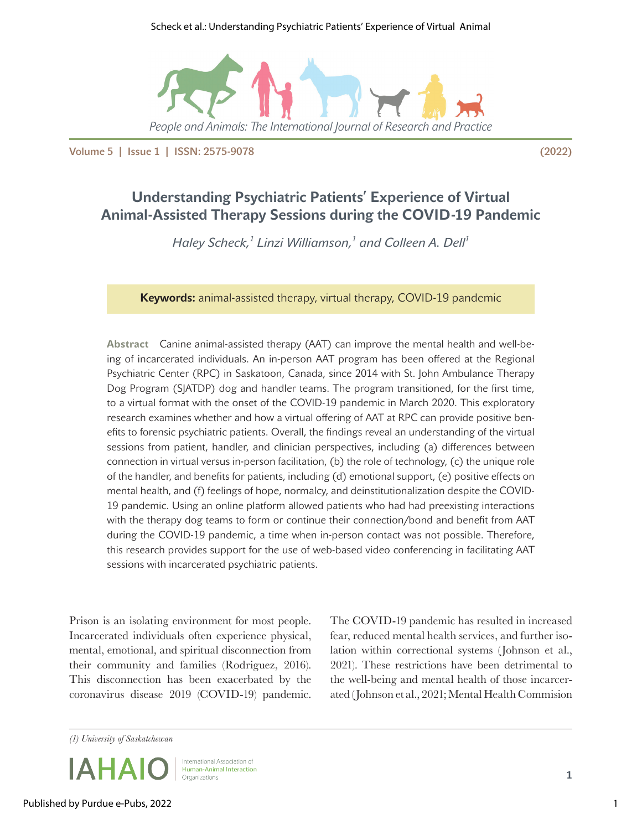#### Scheck et al.: Understanding Psychiatric Patients' Experience of Virtual Animal



Volume 5 | Issue 1 | ISSN: 2575-9078 (2022)

# **Understanding Psychiatric Patients' Experience of Virtual Animal-Assisted Therapy Sessions during the COVID-19 Pandemic**

 $H$ aley Scheck, $^1$  Linzi Williamson, $^1$  and Colleen A. Dell $^1$ 

**Keywords:** animal-assisted therapy, virtual therapy, COVID-19 pandemic

**Abstract** Canine animal-assisted therapy (AAT) can improve the mental health and well-being of incarcerated individuals. An in-person AAT program has been offered at the Regional Psychiatric Center (RPC) in Saskatoon, Canada, since 2014 with St. John Ambulance Therapy Dog Program (SJATDP) dog and handler teams. The program transitioned, for the first time, to a virtual format with the onset of the COVID-19 pandemic in March 2020. This exploratory research examines whether and how a virtual offering of AAT at RPC can provide positive benefits to forensic psychiatric patients. Overall, the findings reveal an understanding of the virtual sessions from patient, handler, and clinician perspectives, including (a) differences between connection in virtual versus in-person facilitation, (b) the role of technology, (c) the unique role of the handler, and benefits for patients, including (d) emotional support, (e) positive effects on mental health, and (f) feelings of hope, normalcy, and deinstitutionalization despite the COVID-19 pandemic. Using an online platform allowed patients who had had preexisting interactions with the therapy dog teams to form or continue their connection/bond and benefit from AAT during the COVID-19 pandemic, a time when in-person contact was not possible. Therefore, this research provides support for the use of web-based video conferencing in facilitating AAT sessions with incarcerated psychiatric patients.

Prison is an isolating environment for most people. Incarcerated individuals often experience physical, mental, emotional, and spiritual disconnection from their community and families (Rodriguez, 2016). This disconnection has been exacerbated by the coronavirus disease 2019 (COVID-19) pandemic.

The COVID-19 pandemic has resulted in increased fear, reduced mental health services, and further isolation within correctional systems (Johnson et al., 2021). These restrictions have been detrimental to the well-being and mental health of those incarcerated (Johnson et al., 2021; Mental Health Commision

*(1) University of Saskatchewan*



International Association of Human-Animal Interaction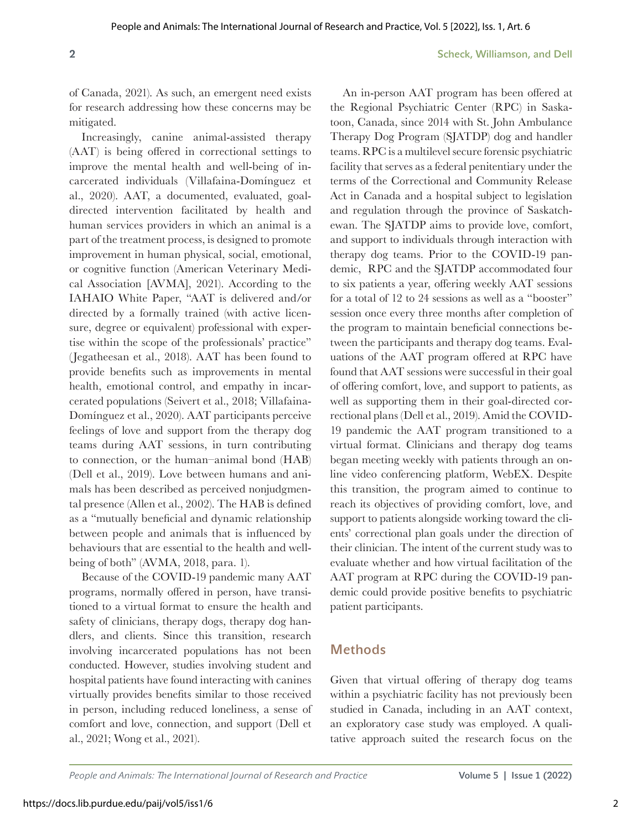of Canada, 2021). As such, an emergent need exists for research addressing how these concerns may be mitigated.

Increasingly, canine animal-assisted therapy (AAT) is being offered in correctional settings to improve the mental health and well-being of incarcerated individuals (Villafaina-Domínguez et al., 2020). AAT, a documented, evaluated, goaldirected intervention facilitated by health and human services providers in which an animal is a part of the treatment process, is designed to promote improvement in human physical, social, emotional, or cognitive function (American Veterinary Medical Association [AVMA], 2021). According to the IAHAIO White Paper, "AAT is delivered and/or directed by a formally trained (with active licensure, degree or equivalent) professional with expertise within the scope of the professionals' practice" (Jegatheesan et al., 2018). AAT has been found to provide benefits such as improvements in mental health, emotional control, and empathy in incarcerated populations (Seivert et al., 2018; Villafaina-Domínguez et al., 2020). AAT participants perceive feelings of love and support from the therapy dog teams during AAT sessions, in turn contributing to connection, or the human–animal bond (HAB) (Dell et al., 2019). Love between humans and animals has been described as perceived nonjudgmental presence (Allen et al., 2002). The HAB is defined as a "mutually beneficial and dynamic relationship between people and animals that is influenced by behaviours that are essential to the health and wellbeing of both" (AVMA, 2018, para. 1).

Because of the COVID-19 pandemic many AAT programs, normally offered in person, have transitioned to a virtual format to ensure the health and safety of clinicians, therapy dogs, therapy dog handlers, and clients. Since this transition, research involving incarcerated populations has not been conducted. However, studies involving student and hospital patients have found interacting with canines virtually provides benefits similar to those received in person, including reduced loneliness, a sense of comfort and love, connection, and support (Dell et al., 2021; Wong et al., 2021).

An in-person AAT program has been offered at the Regional Psychiatric Center (RPC) in Saskatoon, Canada, since 2014 with St. John Ambulance Therapy Dog Program (SJATDP) dog and handler teams. RPC is a multilevel secure forensic psychiatric facility that serves as a federal penitentiary under the terms of the Correctional and Community Release Act in Canada and a hospital subject to legislation and regulation through the province of Saskatchewan. The SJATDP aims to provide love, comfort, and support to individuals through interaction with therapy dog teams. Prior to the COVID-19 pandemic, RPC and the SJATDP accommodated four to six patients a year, offering weekly AAT sessions for a total of 12 to 24 sessions as well as a "booster" session once every three months after completion of the program to maintain beneficial connections between the participants and therapy dog teams. Evaluations of the AAT program offered at RPC have found that AAT sessions were successful in their goal of offering comfort, love, and support to patients, as well as supporting them in their goal-directed correctional plans (Dell et al., 2019). Amid the COVID-19 pandemic the AAT program transitioned to a virtual format. Clinicians and therapy dog teams began meeting weekly with patients through an online video conferencing platform, WebEX. Despite this transition, the program aimed to continue to reach its objectives of providing comfort, love, and support to patients alongside working toward the clients' correctional plan goals under the direction of their clinician. The intent of the current study was to evaluate whether and how virtual facilitation of the AAT program at RPC during the COVID-19 pandemic could provide positive benefits to psychiatric patient participants.

### Methods

Given that virtual offering of therapy dog teams within a psychiatric facility has not previously been studied in Canada, including in an AAT context, an exploratory case study was employed. A qualitative approach suited the research focus on the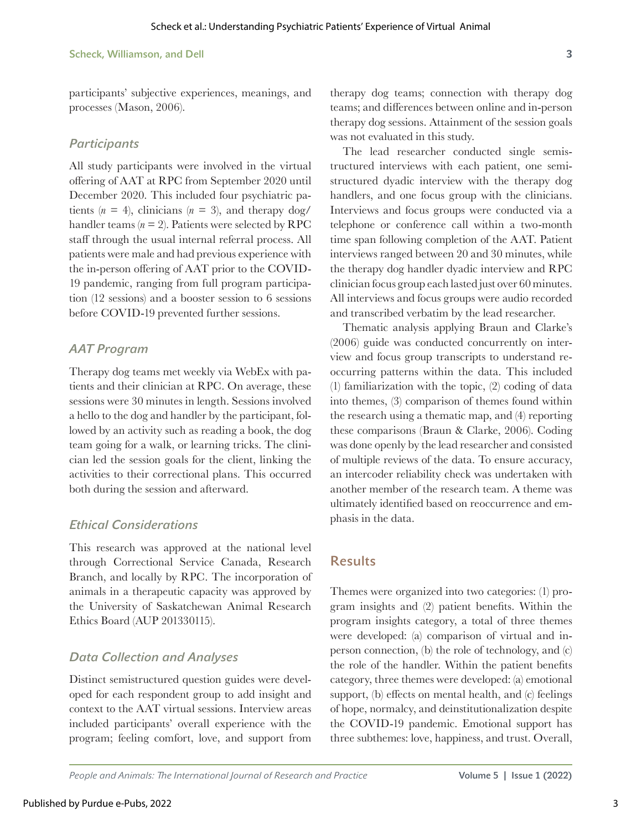participants' subjective experiences, meanings, and processes (Mason, 2006).

#### *Participants*

All study participants were involved in the virtual offering of AAT at RPC from September 2020 until December 2020. This included four psychiatric patients  $(n = 4)$ , clinicians  $(n = 3)$ , and therapy dog/ handler teams  $(n = 2)$ . Patients were selected by RPC staff through the usual internal referral process. All patients were male and had previous experience with the in-person offering of AAT prior to the COVID-19 pandemic, ranging from full program participation (12 sessions) and a booster session to 6 sessions before COVID-19 prevented further sessions.

### *AAT Program*

Therapy dog teams met weekly via WebEx with patients and their clinician at RPC. On average, these sessions were 30 minutes in length. Sessions involved a hello to the dog and handler by the participant, followed by an activity such as reading a book, the dog team going for a walk, or learning tricks. The clinician led the session goals for the client, linking the activities to their correctional plans. This occurred both during the session and afterward.

### *Ethical Considerations*

This research was approved at the national level through Correctional Service Canada, Research Branch, and locally by RPC. The incorporation of animals in a therapeutic capacity was approved by the University of Saskatchewan Animal Research Ethics Board (AUP 201330115).

## *Data Collection and Analyses*

Distinct semistructured question guides were developed for each respondent group to add insight and context to the AAT virtual sessions. Interview areas included participants' overall experience with the program; feeling comfort, love, and support from therapy dog teams; connection with therapy dog teams; and differences between online and in-person therapy dog sessions. Attainment of the session goals was not evaluated in this study.

The lead researcher conducted single semistructured interviews with each patient, one semistructured dyadic interview with the therapy dog handlers, and one focus group with the clinicians. Interviews and focus groups were conducted via a telephone or conference call within a two-month time span following completion of the AAT. Patient interviews ranged between 20 and 30 minutes, while the therapy dog handler dyadic interview and RPC clinician focus group each lasted just over 60 minutes. All interviews and focus groups were audio recorded and transcribed verbatim by the lead researcher.

Thematic analysis applying Braun and Clarke's (2006) guide was conducted concurrently on interview and focus group transcripts to understand reoccurring patterns within the data. This included (1) familiarization with the topic, (2) coding of data into themes, (3) comparison of themes found within the research using a thematic map, and (4) reporting these comparisons (Braun & Clarke, 2006). Coding was done openly by the lead researcher and consisted of multiple reviews of the data. To ensure accuracy, an intercoder reliability check was undertaken with another member of the research team. A theme was ultimately identified based on reoccurrence and emphasis in the data.

## Results

Themes were organized into two categories: (1) program insights and (2) patient benefits. Within the program insights category, a total of three themes were developed: (a) comparison of virtual and inperson connection, (b) the role of technology, and (c) the role of the handler. Within the patient benefits category, three themes were developed: (a) emotional support, (b) effects on mental health, and (c) feelings of hope, normalcy, and deinstitutionalization despite the COVID-19 pandemic. Emotional support has three subthemes: love, happiness, and trust. Overall,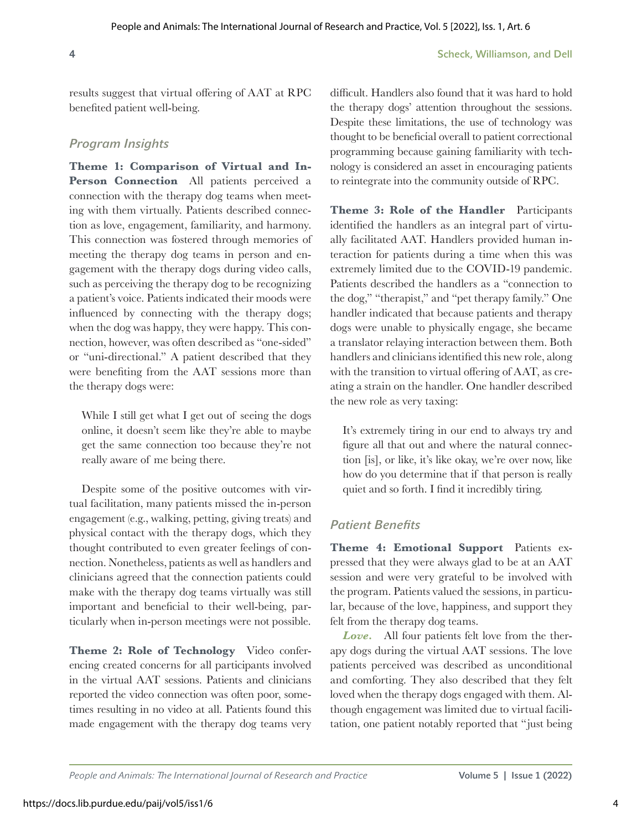results suggest that virtual offering of AAT at RPC benefited patient well-being.

### *Program Insights*

**Theme 1: Comparison of Virtual and In-**Person Connection All patients perceived a connection with the therapy dog teams when meeting with them virtually. Patients described connection as love, engagement, familiarity, and harmony. This connection was fostered through memories of meeting the therapy dog teams in person and engagement with the therapy dogs during video calls, such as perceiving the therapy dog to be recognizing a patient's voice. Patients indicated their moods were influenced by connecting with the therapy dogs; when the dog was happy, they were happy. This connection, however, was often described as "one-sided" or "uni-directional." A patient described that they were benefiting from the AAT sessions more than the therapy dogs were:

While I still get what I get out of seeing the dogs online, it doesn't seem like they're able to maybe get the same connection too because they're not really aware of me being there.

Despite some of the positive outcomes with virtual facilitation, many patients missed the in-person engagement (e.g., walking, petting, giving treats) and physical contact with the therapy dogs, which they thought contributed to even greater feelings of connection. Nonetheless, patients as well as handlers and clinicians agreed that the connection patients could make with the therapy dog teams virtually was still important and beneficial to their well-being, particularly when in-person meetings were not possible.

**Theme 2: Role of Technology** Video conferencing created concerns for all participants involved in the virtual AAT sessions. Patients and clinicians reported the video connection was often poor, sometimes resulting in no video at all. Patients found this made engagement with the therapy dog teams very

difficult. Handlers also found that it was hard to hold the therapy dogs' attention throughout the sessions. Despite these limitations, the use of technology was thought to be beneficial overall to patient correctional programming because gaining familiarity with technology is considered an asset in encouraging patients to reintegrate into the community outside of RPC.

**Theme 3: Role of the Handler** Participants identified the handlers as an integral part of virtually facilitated AAT. Handlers provided human interaction for patients during a time when this was extremely limited due to the COVID-19 pandemic. Patients described the handlers as a "connection to the dog," "therapist," and "pet therapy family." One handler indicated that because patients and therapy dogs were unable to physically engage, she became a translator relaying interaction between them. Both handlers and clinicians identified this new role, along with the transition to virtual offering of AAT, as creating a strain on the handler. One handler described the new role as very taxing:

It's extremely tiring in our end to always try and figure all that out and where the natural connection [is], or like, it's like okay, we're over now, like how do you determine that if that person is really quiet and so forth. I find it incredibly tiring.

### *Patient Benefits*

**Theme 4: Emotional Support** Patients expressed that they were always glad to be at an AAT session and were very grateful to be involved with the program. Patients valued the sessions, in particular, because of the love, happiness, and support they felt from the therapy dog teams.

*Love.* All four patients felt love from the therapy dogs during the virtual AAT sessions. The love patients perceived was described as unconditional and comforting. They also described that they felt loved when the therapy dogs engaged with them. Although engagement was limited due to virtual facilitation, one patient notably reported that "just being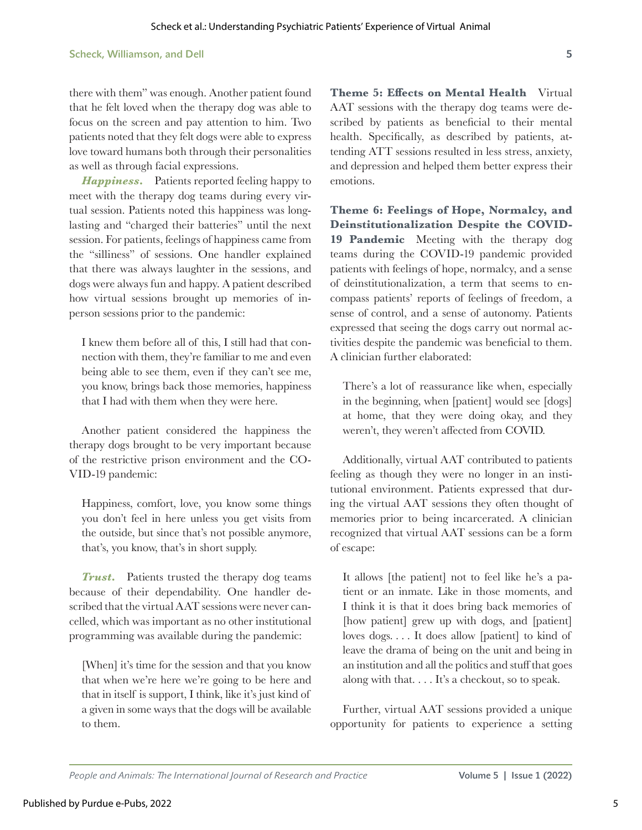there with them" was enough. Another patient found that he felt loved when the therapy dog was able to focus on the screen and pay attention to him. Two patients noted that they felt dogs were able to express love toward humans both through their personalities as well as through facial expressions.

*Happiness***.** Patients reported feeling happy to meet with the therapy dog teams during every virtual session. Patients noted this happiness was longlasting and "charged their batteries" until the next session. For patients, feelings of happiness came from the "silliness" of sessions. One handler explained that there was always laughter in the sessions, and dogs were always fun and happy. A patient described how virtual sessions brought up memories of inperson sessions prior to the pandemic:

I knew them before all of this, I still had that connection with them, they're familiar to me and even being able to see them, even if they can't see me, you know, brings back those memories, happiness that I had with them when they were here.

Another patient considered the happiness the therapy dogs brought to be very important because of the restrictive prison environment and the CO-VID-19 pandemic:

Happiness, comfort, love, you know some things you don't feel in here unless you get visits from the outside, but since that's not possible anymore, that's, you know, that's in short supply.

*Trust***.** Patients trusted the therapy dog teams because of their dependability. One handler described that the virtual AAT sessions were never cancelled, which was important as no other institutional programming was available during the pandemic:

[When] it's time for the session and that you know that when we're here we're going to be here and that in itself is support, I think, like it's just kind of a given in some ways that the dogs will be available to them.

**Theme 5: Effects on Mental Health** Virtual AAT sessions with the therapy dog teams were described by patients as beneficial to their mental health. Specifically, as described by patients, attending ATT sessions resulted in less stress, anxiety, and depression and helped them better express their emotions.

**Theme 6: Feelings of Hope, Normalcy, and Deinstitutionalization Despite the COVID-19 Pandemic** Meeting with the therapy dog teams during the COVID-19 pandemic provided patients with feelings of hope, normalcy, and a sense of deinstitutionalization, a term that seems to encompass patients' reports of feelings of freedom, a sense of control, and a sense of autonomy. Patients expressed that seeing the dogs carry out normal activities despite the pandemic was beneficial to them. A clinician further elaborated:

There's a lot of reassurance like when, especially in the beginning, when [patient] would see [dogs] at home, that they were doing okay, and they weren't, they weren't affected from COVID.

Additionally, virtual AAT contributed to patients feeling as though they were no longer in an institutional environment. Patients expressed that during the virtual AAT sessions they often thought of memories prior to being incarcerated. A clinician recognized that virtual AAT sessions can be a form of escape:

It allows [the patient] not to feel like he's a patient or an inmate. Like in those moments, and I think it is that it does bring back memories of [how patient] grew up with dogs, and [patient] loves dogs. . . . It does allow [patient] to kind of leave the drama of being on the unit and being in an institution and all the politics and stuff that goes along with that. . . . It's a checkout, so to speak.

Further, virtual AAT sessions provided a unique opportunity for patients to experience a setting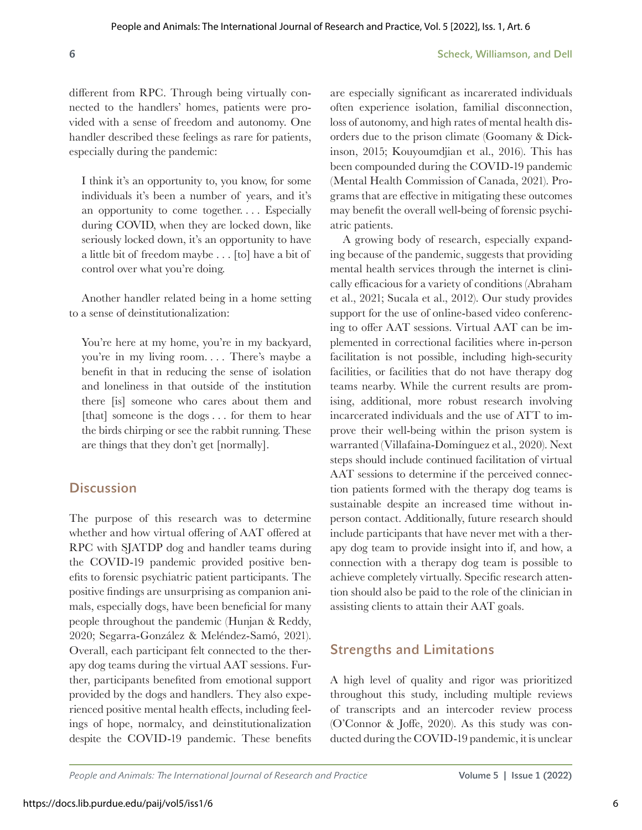different from RPC. Through being virtually connected to the handlers' homes, patients were provided with a sense of freedom and autonomy. One handler described these feelings as rare for patients, especially during the pandemic:

I think it's an opportunity to, you know, for some individuals it's been a number of years, and it's an opportunity to come together. . . . Especially during COVID, when they are locked down, like seriously locked down, it's an opportunity to have a little bit of freedom maybe . . . [to] have a bit of control over what you're doing.

Another handler related being in a home setting to a sense of deinstitutionalization:

You're here at my home, you're in my backyard, you're in my living room. . . . There's maybe a benefit in that in reducing the sense of isolation and loneliness in that outside of the institution there [is] someone who cares about them and [that] someone is the dogs . . . for them to hear the birds chirping or see the rabbit running. These are things that they don't get [normally].

### **Discussion**

The purpose of this research was to determine whether and how virtual offering of AAT offered at RPC with SJATDP dog and handler teams during the COVID-19 pandemic provided positive benefits to forensic psychiatric patient participants. The positive findings are unsurprising as companion animals, especially dogs, have been beneficial for many people throughout the pandemic (Hunjan & Reddy, 2020; Segarra-González & Meléndez-Samó, 2021). Overall, each participant felt connected to the therapy dog teams during the virtual AAT sessions. Further, participants benefited from emotional support provided by the dogs and handlers. They also experienced positive mental health effects, including feelings of hope, normalcy, and deinstitutionalization despite the COVID-19 pandemic. These benefits

are especially significant as incarerated individuals often experience isolation, familial disconnection, loss of autonomy, and high rates of mental health disorders due to the prison climate (Goomany & Dickinson, 2015; Kouyoumdjian et al., 2016). This has been compounded during the COVID-19 pandemic (Mental Health Commission of Canada, 2021). Programs that are effective in mitigating these outcomes may benefit the overall well-being of forensic psychiatric patients.

A growing body of research, especially expanding because of the pandemic, suggests that providing mental health services through the internet is clinically efficacious for a variety of conditions (Abraham et al., 2021; Sucala et al., 2012). Our study provides support for the use of online-based video conferencing to offer AAT sessions. Virtual AAT can be implemented in correctional facilities where in-person facilitation is not possible, including high-security facilities, or facilities that do not have therapy dog teams nearby. While the current results are promising, additional, more robust research involving incarcerated individuals and the use of ATT to improve their well-being within the prison system is warranted (Villafaina-Domínguez et al., 2020). Next steps should include continued facilitation of virtual AAT sessions to determine if the perceived connection patients formed with the therapy dog teams is sustainable despite an increased time without inperson contact. Additionally, future research should include participants that have never met with a therapy dog team to provide insight into if, and how, a connection with a therapy dog team is possible to achieve completely virtually. Specific research attention should also be paid to the role of the clinician in assisting clients to attain their AAT goals.

# Strengths and Limitations

A high level of quality and rigor was prioritized throughout this study, including multiple reviews of transcripts and an intercoder review process (O'Connor & Joffe, 2020). As this study was conducted during the COVID-19 pandemic, it is unclear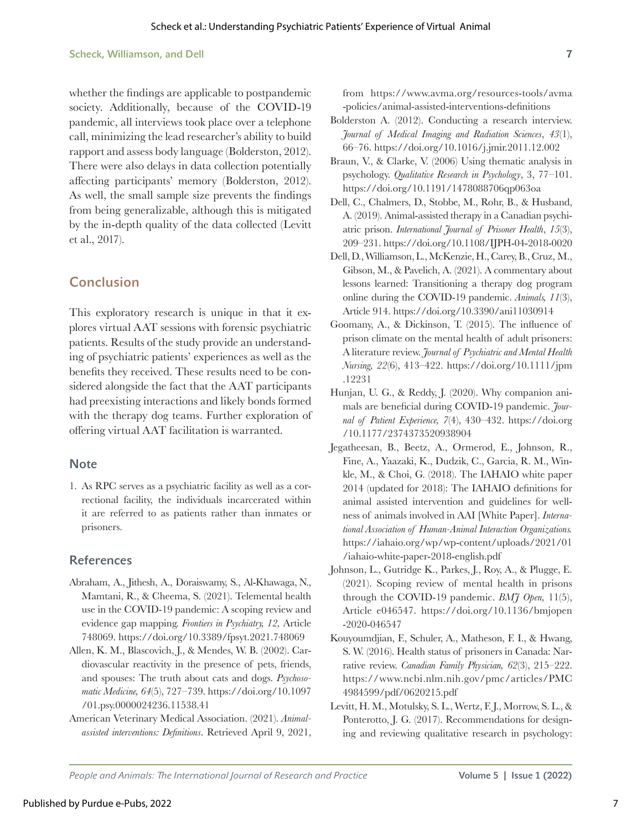#### Scheck, Williamson, and Dell **7**

whether the findings are applicable to postpandemic society. Additionally, because of the COVID-19 pandemic, all interviews took place over a telephone call, minimizing the lead researcher's ability to build rapport and assess body language (Bolderston, 2012). There were also delays in data collection potentially affecting participants' memory (Bolderston, 2012). As well, the small sample size prevents the findings from being generalizable, although this is mitigated by the in-depth quality of the data collected (Levitt et al., 2017).

### Conclusion

This exploratory research is unique in that it explores virtual AAT sessions with forensic psychiatric patients. Results of the study provide an understanding of psychiatric patients' experiences as well as the benefits they received. These results need to be considered alongside the fact that the AAT participants had preexisting interactions and likely bonds formed with the therapy dog teams. Further exploration of offering virtual AAT facilitation is warranted.

#### **Note**

1. As RPC serves as a psychiatric facility as well as a correctional facility, the individuals incarcerated within it are referred to as patients rather than inmates or prisoners.

#### References

- Abraham, A., Jithesh, A., Doraiswamy, S., Al-Khawaga, N., Mamtani, R., & Cheema, S. (2021). Telemental health use in the COVID-19 pandemic: A scoping review and evidence gap mapping. *Frontiers in Psychiatry, 12,* Article 748069. <https://doi.org/10.3389/fpsyt.2021.748069>
- Allen, K. M., Blascovich, J., & Mendes, W. B. (2002). Cardiovascular reactivity in the presence of pets, friends, and spouses: The truth about cats and dogs. *Psychosomatic Medicine, 64*(5), 727–739. [https://doi.org/10.1097](https://doi.org/10.1097/01.psy.0000024236.11538.41) [/01.psy.0000024236.11538.41](https://doi.org/10.1097/01.psy.0000024236.11538.41)
- American Veterinary Medical Association. (2021). *Animalassisted interventions: Definitions*. Retrieved April 9, 2021,

from [https://www.avma.org/resources-tools/avma](https://www.avma.org/resources-tools/avma-policies/animal-assisted-interventions-definitions) [-policies/animal-assisted-interventions-definitions](https://www.avma.org/resources-tools/avma-policies/animal-assisted-interventions-definitions)

- Bolderston A. (2012). Conducting a research interview. *Journal of Medical Imaging and Radiation Sciences*, *43*(1), 66–76. <https://doi.org/10.1016/j.jmir.2011.12.002>
- Braun, V., & Clarke, V. (2006) Using thematic analysis in psychology. *Qualitative Research in Psychology*, 3, 77–101. <https://doi.org/10.1191/1478088706qp063oa>
- Dell, C., Chalmers, D., Stobbe, M., Rohr, B., & Husband, A. (2019). Animal-assisted therapy in a Canadian psychiatric prison. *International Journal of Prisoner Health*, *15*(3), 209–231.<https://doi.org/10.1108/IJPH-04-2018-0020>
- Dell, D., Williamson, L., McKenzie, H., Carey, B., Cruz, M., Gibson, M., & Pavelich, A. (2021). A commentary about lessons learned: Transitioning a therapy dog program online during the COVID-19 pandemic. *Animals, 11*(3), Article 914.<https://doi.org/10.3390/ani11030914>
- Goomany, A., & Dickinson, T. (2015). The influence of prison climate on the mental health of adult prisoners: A literature review. *Journal of Psychiatric and Mental Health Nursing, 22*(6), 413–422. [https://doi.org/10.1111/jpm](https://doi.org/10.1111/jpm.12231) [.12231](https://doi.org/10.1111/jpm.12231)
- Hunjan, U. G., & Reddy, J. (2020). Why companion animals are beneficial during COVID-19 pandemic. *Journal of Patient Experience, 7*(4), 430–432. [https://doi.org](https://doi.org/10.1177/2374373520938904) [/10.1177/2374373520938904](https://doi.org/10.1177/2374373520938904)
- Jegatheesan, B., Beetz, A., Ormerod, E., Johnson, R., Fine, A., Yaazaki, K., Dudzik, C., Garcia, R. M., Winkle, M., & Choi, G. (2018). The IAHAIO white paper 2014 (updated for 2018): The IAHAIO definitions for animal assisted intervention and guidelines for wellness of animals involved in AAI [White Paper]. *International Association of Human-Animal Interaction Organizations.*  [https://iahaio.org/wp/wp-content/uploads/2021/01](https://iahaio.org/wp/wp-content/uploads/2021/01/iahaio-white-paper-2018-english.pdf) [/iahaio-white-paper-2018-english.pdf](https://iahaio.org/wp/wp-content/uploads/2021/01/iahaio-white-paper-2018-english.pdf)
- Johnson, L., Gutridge K., Parkes, J., Roy, A., & Plugge, E. (2021). Scoping review of mental health in prisons through the COVID-19 pandemic. *BMJ Open,* 11(5), Article e046547. [https://doi.org/10.1136/bmjopen](https://doi.org/10.1136/bmjopen-2020-046547) [-2020-046547](https://doi.org/10.1136/bmjopen-2020-046547)
- Kouyoumdjian, F., Schuler, A., Matheson, F. I., & Hwang, S. W. (2016). Health status of prisoners in Canada: Narrative review. *Canadian Family Physician, 62*(3), 215–222. [https://www.ncbi.nlm.nih.gov/pmc/articles/PMC](https://www.ncbi.nlm.nih.gov/pmc/articles/PMC4984599/pdf/0620215.pdf) [4984599/pdf/0620215.pdf](https://www.ncbi.nlm.nih.gov/pmc/articles/PMC4984599/pdf/0620215.pdf)
- Levitt, H. M., Motulsky, S. L., Wertz, F. J., Morrow, S. L., & Ponterotto, J. G. (2017). Recommendations for designing and reviewing qualitative research in psychology: